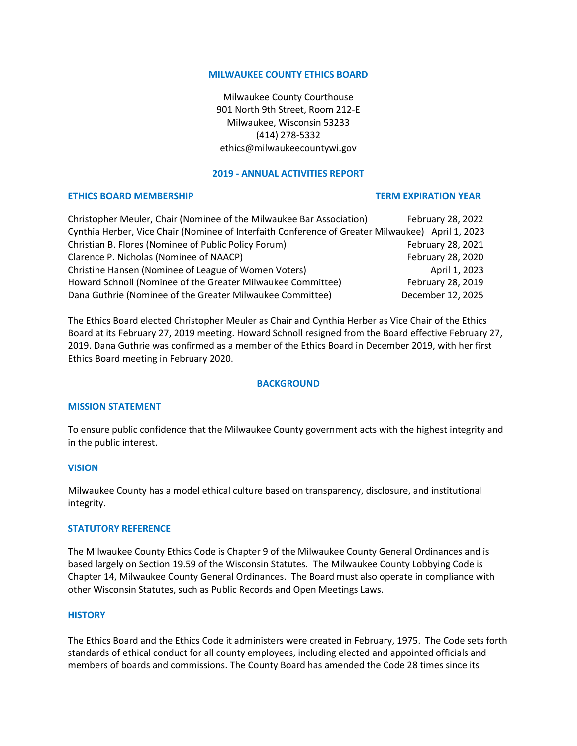#### **MILWAUKEE COUNTY ETHICS BOARD**

Milwaukee County Courthouse 901 North 9th Street, Room 212-E Milwaukee, Wisconsin 53233 (414) 278-5332 ethics@milwaukeecountywi.gov

## **2019 - ANNUAL ACTIVITIES REPORT**

## **ETHICS BOARD MEMBERSHIP TERM EXPIRATION YEAR**

| Christopher Meuler, Chair (Nominee of the Milwaukee Bar Association)                             | February 28, 2022 |
|--------------------------------------------------------------------------------------------------|-------------------|
| Cynthia Herber, Vice Chair (Nominee of Interfaith Conference of Greater Milwaukee) April 1, 2023 |                   |
| Christian B. Flores (Nominee of Public Policy Forum)                                             | February 28, 2021 |
| Clarence P. Nicholas (Nominee of NAACP)                                                          | February 28, 2020 |
| Christine Hansen (Nominee of League of Women Voters)                                             | April 1, 2023     |
| Howard Schnoll (Nominee of the Greater Milwaukee Committee)                                      | February 28, 2019 |
| Dana Guthrie (Nominee of the Greater Milwaukee Committee)                                        | December 12, 2025 |

The Ethics Board elected Christopher Meuler as Chair and Cynthia Herber as Vice Chair of the Ethics Board at its February 27, 2019 meeting. Howard Schnoll resigned from the Board effective February 27, 2019. Dana Guthrie was confirmed as a member of the Ethics Board in December 2019, with her first Ethics Board meeting in February 2020.

## **BACKGROUND**

#### **MISSION STATEMENT**

To ensure public confidence that the Milwaukee County government acts with the highest integrity and in the public interest.

## **VISION**

Milwaukee County has a model ethical culture based on transparency, disclosure, and institutional integrity.

#### **STATUTORY REFERENCE**

The Milwaukee County Ethics Code is Chapter 9 of the Milwaukee County General Ordinances and is based largely on Section 19.59 of the Wisconsin Statutes. The Milwaukee County Lobbying Code is Chapter 14, Milwaukee County General Ordinances. The Board must also operate in compliance with other Wisconsin Statutes, such as Public Records and Open Meetings Laws.

#### **HISTORY**

The Ethics Board and the Ethics Code it administers were created in February, 1975. The Code sets forth standards of ethical conduct for all county employees, including elected and appointed officials and members of boards and commissions. The County Board has amended the Code 28 times since its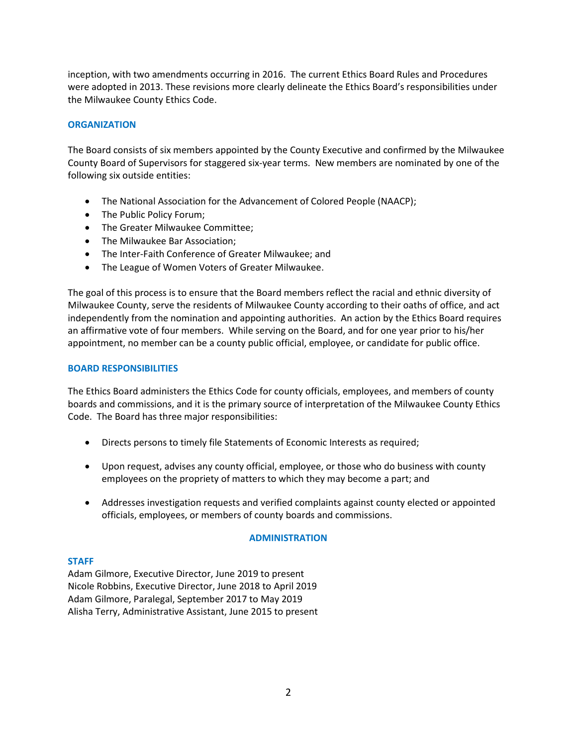inception, with two amendments occurring in 2016. The current Ethics Board Rules and Procedures were adopted in 2013. These revisions more clearly delineate the Ethics Board's responsibilities under the Milwaukee County Ethics Code.

## **ORGANIZATION**

The Board consists of six members appointed by the County Executive and confirmed by the Milwaukee County Board of Supervisors for staggered six-year terms. New members are nominated by one of the following six outside entities:

- The National Association for the Advancement of Colored People (NAACP);
- The Public Policy Forum;
- The Greater Milwaukee Committee;
- The Milwaukee Bar Association;
- The Inter-Faith Conference of Greater Milwaukee; and
- The League of Women Voters of Greater Milwaukee.

The goal of this process is to ensure that the Board members reflect the racial and ethnic diversity of Milwaukee County, serve the residents of Milwaukee County according to their oaths of office, and act independently from the nomination and appointing authorities. An action by the Ethics Board requires an affirmative vote of four members. While serving on the Board, and for one year prior to his/her appointment, no member can be a county public official, employee, or candidate for public office.

## **BOARD RESPONSIBILITIES**

The Ethics Board administers the Ethics Code for county officials, employees, and members of county boards and commissions, and it is the primary source of interpretation of the Milwaukee County Ethics Code. The Board has three major responsibilities:

- Directs persons to timely file Statements of Economic Interests as required;
- Upon request, advises any county official, employee, or those who do business with county employees on the propriety of matters to which they may become a part; and
- Addresses investigation requests and verified complaints against county elected or appointed officials, employees, or members of county boards and commissions.

## **ADMINISTRATION**

## **STAFF**

Adam Gilmore, Executive Director, June 2019 to present Nicole Robbins, Executive Director, June 2018 to April 2019 Adam Gilmore, Paralegal, September 2017 to May 2019 Alisha Terry, Administrative Assistant, June 2015 to present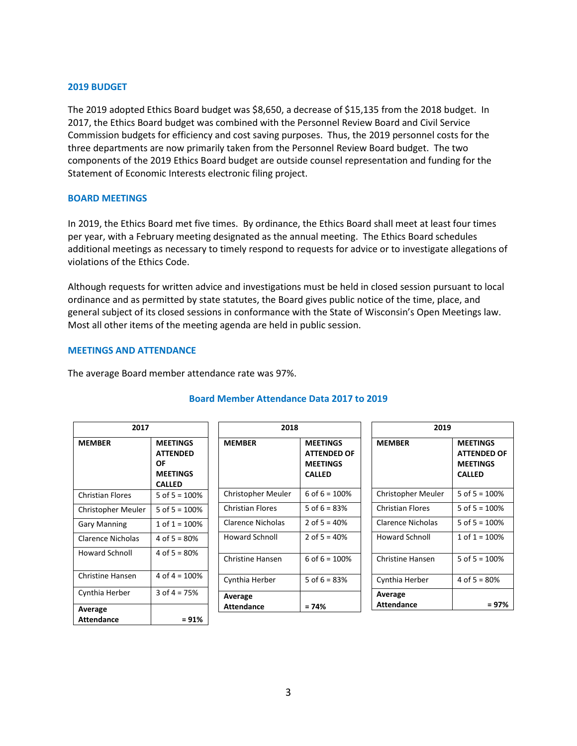## **2019 BUDGET**

The 2019 adopted Ethics Board budget was \$8,650, a decrease of \$15,135 from the 2018 budget. In 2017, the Ethics Board budget was combined with the Personnel Review Board and Civil Service Commission budgets for efficiency and cost saving purposes. Thus, the 2019 personnel costs for the three departments are now primarily taken from the Personnel Review Board budget. The two components of the 2019 Ethics Board budget are outside counsel representation and funding for the Statement of Economic Interests electronic filing project.

#### **BOARD MEETINGS**

In 2019, the Ethics Board met five times. By ordinance, the Ethics Board shall meet at least four times per year, with a February meeting designated as the annual meeting. The Ethics Board schedules additional meetings as necessary to timely respond to requests for advice or to investigate allegations of violations of the Ethics Code.

Although requests for written advice and investigations must be held in closed session pursuant to local ordinance and as permitted by state statutes, the Board gives public notice of the time, place, and general subject of its closed sessions in conformance with the State of Wisconsin's Open Meetings law. Most all other items of the meeting agenda are held in public session.

## **MEETINGS AND ATTENDANCE**

The average Board member attendance rate was 97%.

| 2017                         |                                                                              | 2018                    |                                                                           | 2019                         |                                                                           |
|------------------------------|------------------------------------------------------------------------------|-------------------------|---------------------------------------------------------------------------|------------------------------|---------------------------------------------------------------------------|
| <b>MEMBER</b>                | <b>MEETINGS</b><br><b>ATTENDED</b><br>OF<br><b>MEETINGS</b><br><b>CALLED</b> | <b>MEMBER</b>           | <b>MEETINGS</b><br><b>ATTENDED OF</b><br><b>MEETINGS</b><br><b>CALLED</b> | <b>MEMBER</b>                | <b>MEETINGS</b><br><b>ATTENDED OF</b><br><b>MEETINGS</b><br><b>CALLED</b> |
| <b>Christian Flores</b>      | 5 of $5 = 100%$                                                              | Christopher Meuler      | 6 of $6 = 100\%$                                                          | Christopher Meuler           | 5 of $5 = 100%$                                                           |
| Christopher Meuler           | 5 of $5 = 100%$                                                              | <b>Christian Flores</b> | 5 of $6 = 83%$                                                            | <b>Christian Flores</b>      | 5 of $5 = 100%$                                                           |
| <b>Gary Manning</b>          | 1 of $1 = 100%$                                                              | Clarence Nicholas       | 2 of $5 = 40%$                                                            | Clarence Nicholas            | 5 of $5 = 100%$                                                           |
| Clarence Nicholas            | 4 of $5 = 80%$                                                               | Howard Schnoll          | 2 of $5 = 40\%$                                                           | <b>Howard Schnoll</b>        | $1$ of $1 = 100\%$                                                        |
| <b>Howard Schnoll</b>        | 4 of $5 = 80%$                                                               | <b>Christine Hansen</b> | 6 of $6 = 100\%$                                                          | <b>Christine Hansen</b>      | 5 of $5 = 100%$                                                           |
| <b>Christine Hansen</b>      | 4 of $4 = 100%$                                                              | Cynthia Herber          | 5 of $6 = 83%$                                                            | Cynthia Herber               | 4 of $5 = 80%$                                                            |
| Cynthia Herber               | 3 of $4 = 75%$                                                               | Average                 |                                                                           | Average<br><b>Attendance</b> | $= 97\%$                                                                  |
| Average<br><b>Attendance</b> | $= 91%$                                                                      | <b>Attendance</b>       | $= 74%$                                                                   |                              |                                                                           |

# **Board Member Attendance Data 2017 to 2019**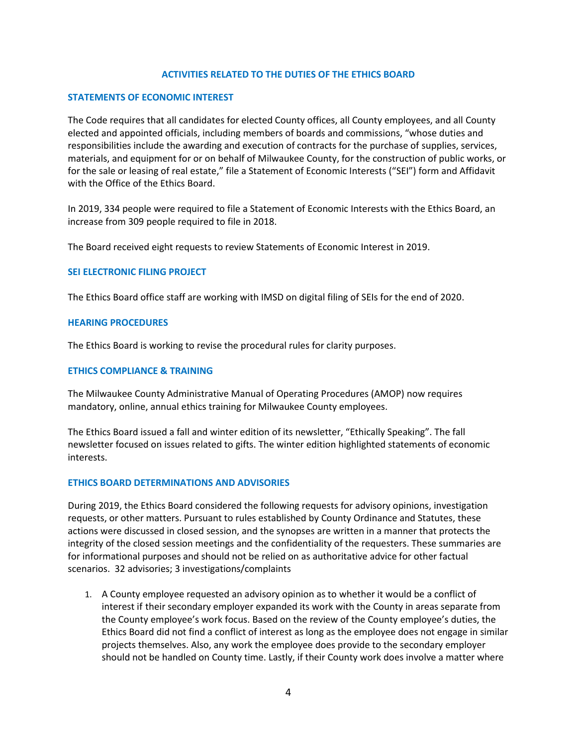## **ACTIVITIES RELATED TO THE DUTIES OF THE ETHICS BOARD**

#### **STATEMENTS OF ECONOMIC INTEREST**

The Code requires that all candidates for elected County offices, all County employees, and all County elected and appointed officials, including members of boards and commissions, "whose duties and responsibilities include the awarding and execution of contracts for the purchase of supplies, services, materials, and equipment for or on behalf of Milwaukee County, for the construction of public works, or for the sale or leasing of real estate," file a Statement of Economic Interests ("SEI") form and Affidavit with the Office of the Ethics Board.

In 2019, 334 people were required to file a Statement of Economic Interests with the Ethics Board, an increase from 309 people required to file in 2018.

The Board received eight requests to review Statements of Economic Interest in 2019.

#### **SEI ELECTRONIC FILING PROJECT**

The Ethics Board office staff are working with IMSD on digital filing of SEIs for the end of 2020.

#### **HEARING PROCEDURES**

The Ethics Board is working to revise the procedural rules for clarity purposes.

#### **ETHICS COMPLIANCE & TRAINING**

The Milwaukee County Administrative Manual of Operating Procedures (AMOP) now requires mandatory, online, annual ethics training for Milwaukee County employees.

The Ethics Board issued a fall and winter edition of its newsletter, "Ethically Speaking". The fall newsletter focused on issues related to gifts. The winter edition highlighted statements of economic interests.

#### **ETHICS BOARD DETERMINATIONS AND ADVISORIES**

During 2019, the Ethics Board considered the following requests for advisory opinions, investigation requests, or other matters. Pursuant to rules established by County Ordinance and Statutes, these actions were discussed in closed session, and the synopses are written in a manner that protects the integrity of the closed session meetings and the confidentiality of the requesters. These summaries are for informational purposes and should not be relied on as authoritative advice for other factual scenarios. 32 advisories; 3 investigations/complaints

1. A County employee requested an advisory opinion as to whether it would be a conflict of interest if their secondary employer expanded its work with the County in areas separate from the County employee's work focus. Based on the review of the County employee's duties, the Ethics Board did not find a conflict of interest as long as the employee does not engage in similar projects themselves. Also, any work the employee does provide to the secondary employer should not be handled on County time. Lastly, if their County work does involve a matter where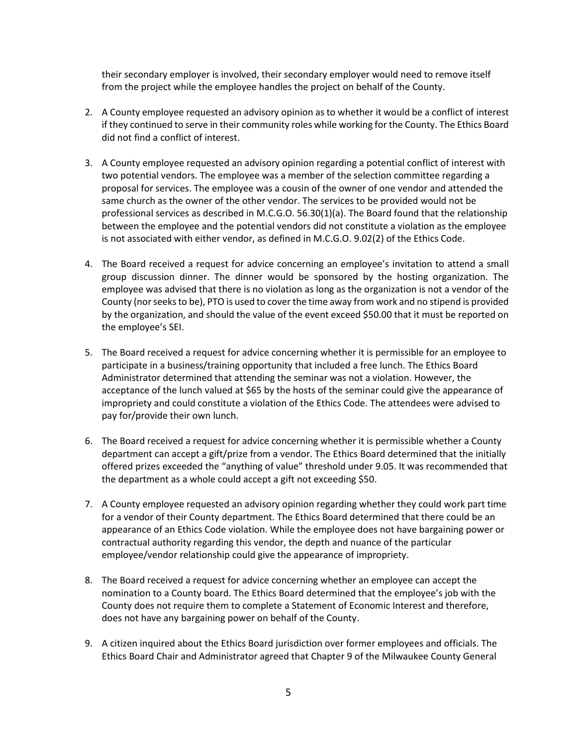their secondary employer is involved, their secondary employer would need to remove itself from the project while the employee handles the project on behalf of the County.

- 2. A County employee requested an advisory opinion as to whether it would be a conflict of interest if they continued to serve in their community roles while working for the County. The Ethics Board did not find a conflict of interest.
- 3. A County employee requested an advisory opinion regarding a potential conflict of interest with two potential vendors. The employee was a member of the selection committee regarding a proposal for services. The employee was a cousin of the owner of one vendor and attended the same church as the owner of the other vendor. The services to be provided would not be professional services as described in M.C.G.O. 56.30(1)(a). The Board found that the relationship between the employee and the potential vendors did not constitute a violation as the employee is not associated with either vendor, as defined in M.C.G.O. 9.02(2) of the Ethics Code.
- 4. The Board received a request for advice concerning an employee's invitation to attend a small group discussion dinner. The dinner would be sponsored by the hosting organization. The employee was advised that there is no violation as long as the organization is not a vendor of the County (nor seeks to be), PTO is used to cover the time away from work and no stipend is provided by the organization, and should the value of the event exceed \$50.00 that it must be reported on the employee's SEI.
- 5. The Board received a request for advice concerning whether it is permissible for an employee to participate in a business/training opportunity that included a free lunch. The Ethics Board Administrator determined that attending the seminar was not a violation. However, the acceptance of the lunch valued at \$65 by the hosts of the seminar could give the appearance of impropriety and could constitute a violation of the Ethics Code. The attendees were advised to pay for/provide their own lunch.
- 6. The Board received a request for advice concerning whether it is permissible whether a County department can accept a gift/prize from a vendor. The Ethics Board determined that the initially offered prizes exceeded the "anything of value" threshold under 9.05. It was recommended that the department as a whole could accept a gift not exceeding \$50.
- 7. A County employee requested an advisory opinion regarding whether they could work part time for a vendor of their County department. The Ethics Board determined that there could be an appearance of an Ethics Code violation. While the employee does not have bargaining power or contractual authority regarding this vendor, the depth and nuance of the particular employee/vendor relationship could give the appearance of impropriety.
- 8. The Board received a request for advice concerning whether an employee can accept the nomination to a County board. The Ethics Board determined that the employee's job with the County does not require them to complete a Statement of Economic Interest and therefore, does not have any bargaining power on behalf of the County.
- 9. A citizen inquired about the Ethics Board jurisdiction over former employees and officials. The Ethics Board Chair and Administrator agreed that Chapter 9 of the Milwaukee County General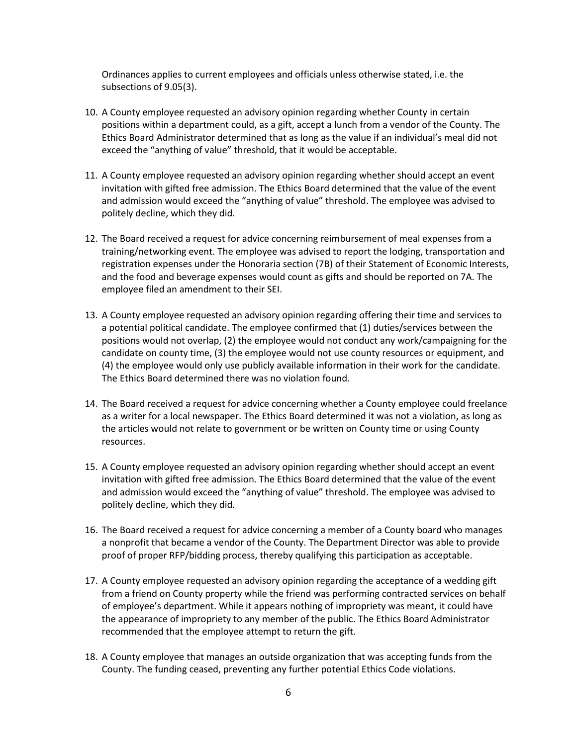Ordinances applies to current employees and officials unless otherwise stated, i.e. the subsections of 9.05(3).

- 10. A County employee requested an advisory opinion regarding whether County in certain positions within a department could, as a gift, accept a lunch from a vendor of the County. The Ethics Board Administrator determined that as long as the value if an individual's meal did not exceed the "anything of value" threshold, that it would be acceptable.
- 11. A County employee requested an advisory opinion regarding whether should accept an event invitation with gifted free admission. The Ethics Board determined that the value of the event and admission would exceed the "anything of value" threshold. The employee was advised to politely decline, which they did.
- 12. The Board received a request for advice concerning reimbursement of meal expenses from a training/networking event. The employee was advised to report the lodging, transportation and registration expenses under the Honoraria section (7B) of their Statement of Economic Interests, and the food and beverage expenses would count as gifts and should be reported on 7A. The employee filed an amendment to their SEI.
- 13. A County employee requested an advisory opinion regarding offering their time and services to a potential political candidate. The employee confirmed that (1) duties/services between the positions would not overlap, (2) the employee would not conduct any work/campaigning for the candidate on county time, (3) the employee would not use county resources or equipment, and (4) the employee would only use publicly available information in their work for the candidate. The Ethics Board determined there was no violation found.
- 14. The Board received a request for advice concerning whether a County employee could freelance as a writer for a local newspaper. The Ethics Board determined it was not a violation, as long as the articles would not relate to government or be written on County time or using County resources.
- 15. A County employee requested an advisory opinion regarding whether should accept an event invitation with gifted free admission. The Ethics Board determined that the value of the event and admission would exceed the "anything of value" threshold. The employee was advised to politely decline, which they did.
- 16. The Board received a request for advice concerning a member of a County board who manages a nonprofit that became a vendor of the County. The Department Director was able to provide proof of proper RFP/bidding process, thereby qualifying this participation as acceptable.
- 17. A County employee requested an advisory opinion regarding the acceptance of a wedding gift from a friend on County property while the friend was performing contracted services on behalf of employee's department. While it appears nothing of impropriety was meant, it could have the appearance of impropriety to any member of the public. The Ethics Board Administrator recommended that the employee attempt to return the gift.
- 18. A County employee that manages an outside organization that was accepting funds from the County. The funding ceased, preventing any further potential Ethics Code violations.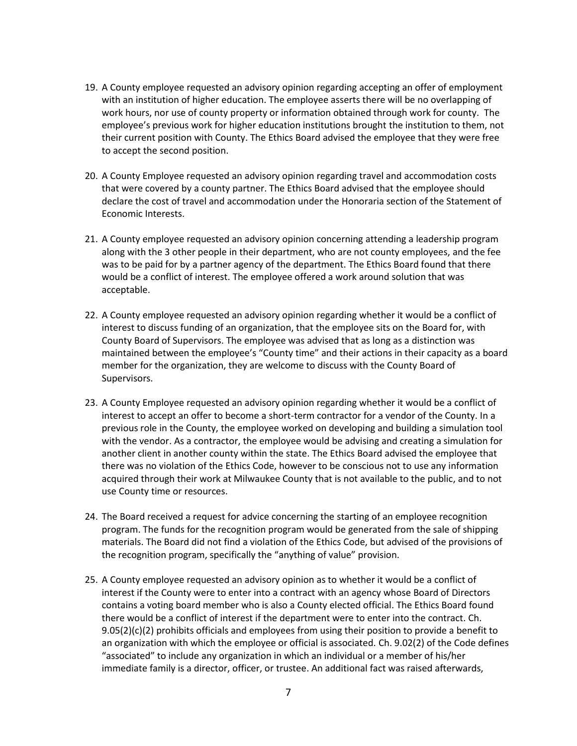- 19. A County employee requested an advisory opinion regarding accepting an offer of employment with an institution of higher education. The employee asserts there will be no overlapping of work hours, nor use of county property or information obtained through work for county. The employee's previous work for higher education institutions brought the institution to them, not their current position with County. The Ethics Board advised the employee that they were free to accept the second position.
- 20. A County Employee requested an advisory opinion regarding travel and accommodation costs that were covered by a county partner. The Ethics Board advised that the employee should declare the cost of travel and accommodation under the Honoraria section of the Statement of Economic Interests.
- 21. A County employee requested an advisory opinion concerning attending a leadership program along with the 3 other people in their department, who are not county employees, and the fee was to be paid for by a partner agency of the department. The Ethics Board found that there would be a conflict of interest. The employee offered a work around solution that was acceptable.
- 22. A County employee requested an advisory opinion regarding whether it would be a conflict of interest to discuss funding of an organization, that the employee sits on the Board for, with County Board of Supervisors. The employee was advised that as long as a distinction was maintained between the employee's "County time" and their actions in their capacity as a board member for the organization, they are welcome to discuss with the County Board of Supervisors.
- 23. A County Employee requested an advisory opinion regarding whether it would be a conflict of interest to accept an offer to become a short-term contractor for a vendor of the County. In a previous role in the County, the employee worked on developing and building a simulation tool with the vendor. As a contractor, the employee would be advising and creating a simulation for another client in another county within the state. The Ethics Board advised the employee that there was no violation of the Ethics Code, however to be conscious not to use any information acquired through their work at Milwaukee County that is not available to the public, and to not use County time or resources.
- 24. The Board received a request for advice concerning the starting of an employee recognition program. The funds for the recognition program would be generated from the sale of shipping materials. The Board did not find a violation of the Ethics Code, but advised of the provisions of the recognition program, specifically the "anything of value" provision.
- 25. A County employee requested an advisory opinion as to whether it would be a conflict of interest if the County were to enter into a contract with an agency whose Board of Directors contains a voting board member who is also a County elected official. The Ethics Board found there would be a conflict of interest if the department were to enter into the contract. Ch.  $9.05(2)(c)(2)$  prohibits officials and employees from using their position to provide a benefit to an organization with which the employee or official is associated. Ch. 9.02(2) of the Code defines "associated" to include any organization in which an individual or a member of his/her immediate family is a director, officer, or trustee. An additional fact was raised afterwards,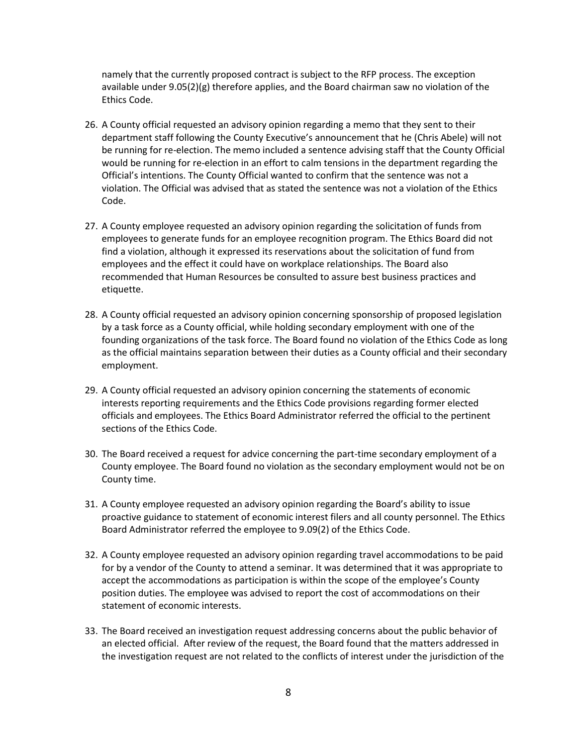namely that the currently proposed contract is subject to the RFP process. The exception available under 9.05(2)(g) therefore applies, and the Board chairman saw no violation of the Ethics Code.

- 26. A County official requested an advisory opinion regarding a memo that they sent to their department staff following the County Executive's announcement that he (Chris Abele) will not be running for re-election. The memo included a sentence advising staff that the County Official would be running for re-election in an effort to calm tensions in the department regarding the Official's intentions. The County Official wanted to confirm that the sentence was not a violation. The Official was advised that as stated the sentence was not a violation of the Ethics Code.
- 27. A County employee requested an advisory opinion regarding the solicitation of funds from employees to generate funds for an employee recognition program. The Ethics Board did not find a violation, although it expressed its reservations about the solicitation of fund from employees and the effect it could have on workplace relationships. The Board also recommended that Human Resources be consulted to assure best business practices and etiquette.
- 28. A County official requested an advisory opinion concerning sponsorship of proposed legislation by a task force as a County official, while holding secondary employment with one of the founding organizations of the task force. The Board found no violation of the Ethics Code as long as the official maintains separation between their duties as a County official and their secondary employment.
- 29. A County official requested an advisory opinion concerning the statements of economic interests reporting requirements and the Ethics Code provisions regarding former elected officials and employees. The Ethics Board Administrator referred the official to the pertinent sections of the Ethics Code.
- 30. The Board received a request for advice concerning the part-time secondary employment of a County employee. The Board found no violation as the secondary employment would not be on County time.
- 31. A County employee requested an advisory opinion regarding the Board's ability to issue proactive guidance to statement of economic interest filers and all county personnel. The Ethics Board Administrator referred the employee to 9.09(2) of the Ethics Code.
- 32. A County employee requested an advisory opinion regarding travel accommodations to be paid for by a vendor of the County to attend a seminar. It was determined that it was appropriate to accept the accommodations as participation is within the scope of the employee's County position duties. The employee was advised to report the cost of accommodations on their statement of economic interests.
- 33. The Board received an investigation request addressing concerns about the public behavior of an elected official. After review of the request, the Board found that the matters addressed in the investigation request are not related to the conflicts of interest under the jurisdiction of the